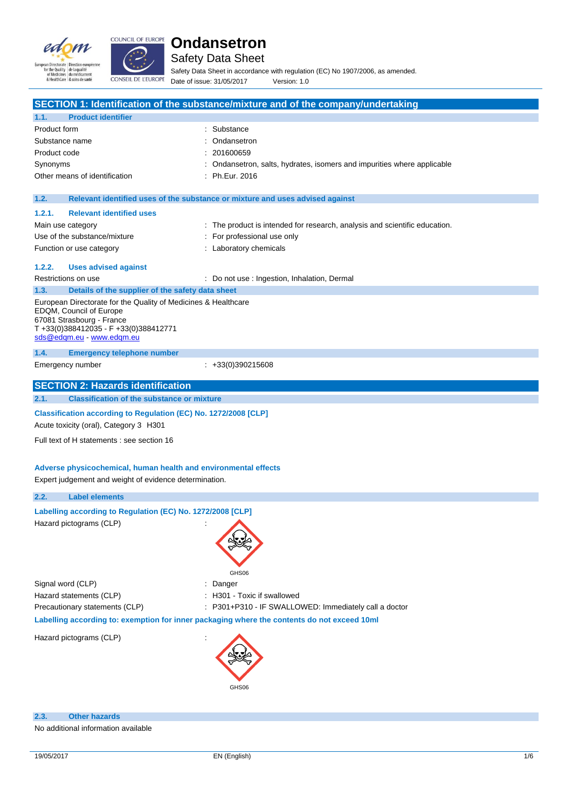



Safety Data Sheet

Safety Data Sheet in accordance with regulation (EC) No 1907/2006, as amended. Date of issue: 31/05/2017 Version: 1.0

|                                                                                         | SECTION 1: Identification of the substance/mixture and of the company/undertaking           |  |  |  |
|-----------------------------------------------------------------------------------------|---------------------------------------------------------------------------------------------|--|--|--|
| <b>Product identifier</b><br>1.1.                                                       |                                                                                             |  |  |  |
| Product form                                                                            | : Substance                                                                                 |  |  |  |
| Substance name                                                                          | : Ondansetron                                                                               |  |  |  |
| Product code                                                                            | 201600659                                                                                   |  |  |  |
| Synonyms                                                                                | : Ondansetron, salts, hydrates, isomers and impurities where applicable                     |  |  |  |
| Other means of identification<br>: Ph.Eur. 2016                                         |                                                                                             |  |  |  |
|                                                                                         |                                                                                             |  |  |  |
| 1.2.                                                                                    | Relevant identified uses of the substance or mixture and uses advised against               |  |  |  |
| 1.2.1.<br><b>Relevant identified uses</b>                                               |                                                                                             |  |  |  |
| Main use category                                                                       | : The product is intended for research, analysis and scientific education.                  |  |  |  |
| Use of the substance/mixture                                                            | For professional use only                                                                   |  |  |  |
| Function or use category                                                                | : Laboratory chemicals                                                                      |  |  |  |
|                                                                                         |                                                                                             |  |  |  |
| 1.2.2.<br><b>Uses advised against</b>                                                   |                                                                                             |  |  |  |
| Restrictions on use                                                                     | : Do not use : Ingestion, Inhalation, Dermal                                                |  |  |  |
| Details of the supplier of the safety data sheet<br>1.3.                                |                                                                                             |  |  |  |
| European Directorate for the Quality of Medicines & Healthcare                          |                                                                                             |  |  |  |
| EDQM, Council of Europe<br>67081 Strasbourg - France                                    |                                                                                             |  |  |  |
| T+33(0)388412035 - F+33(0)388412771                                                     |                                                                                             |  |  |  |
| sds@edqm.eu - www.edqm.eu                                                               |                                                                                             |  |  |  |
| 1.4.<br><b>Emergency telephone number</b>                                               |                                                                                             |  |  |  |
| Emergency number                                                                        | $\div$ +33(0)390215608                                                                      |  |  |  |
|                                                                                         |                                                                                             |  |  |  |
| <b>SECTION 2: Hazards identification</b>                                                |                                                                                             |  |  |  |
| 2.1.<br><b>Classification of the substance or mixture</b>                               |                                                                                             |  |  |  |
| Classification according to Regulation (EC) No. 1272/2008 [CLP]                         |                                                                                             |  |  |  |
| Acute toxicity (oral), Category 3 H301                                                  |                                                                                             |  |  |  |
| Full text of H statements : see section 16                                              |                                                                                             |  |  |  |
|                                                                                         |                                                                                             |  |  |  |
|                                                                                         |                                                                                             |  |  |  |
| Adverse physicochemical, human health and environmental effects                         |                                                                                             |  |  |  |
| Expert judgement and weight of evidence determination.                                  |                                                                                             |  |  |  |
| 2.2.<br><b>Label elements</b>                                                           |                                                                                             |  |  |  |
| Labelling according to Regulation (EC) No. 1272/2008 [CLP]                              |                                                                                             |  |  |  |
| Hazard pictograms (CLP)                                                                 | ÷                                                                                           |  |  |  |
|                                                                                         |                                                                                             |  |  |  |
|                                                                                         |                                                                                             |  |  |  |
|                                                                                         |                                                                                             |  |  |  |
|                                                                                         | GHS06                                                                                       |  |  |  |
| Signal word (CLP)                                                                       | Danger                                                                                      |  |  |  |
|                                                                                         |                                                                                             |  |  |  |
| Hazard statements (CLP)<br>: H301 - Toxic if swallowed                                  |                                                                                             |  |  |  |
| Precautionary statements (CLP)<br>: P301+P310 - IF SWALLOWED: Immediately call a doctor |                                                                                             |  |  |  |
|                                                                                         | Labelling according to: exemption for inner packaging where the contents do not exceed 10ml |  |  |  |
| Hazard pictograms (CLP)                                                                 |                                                                                             |  |  |  |
|                                                                                         |                                                                                             |  |  |  |
|                                                                                         |                                                                                             |  |  |  |
|                                                                                         |                                                                                             |  |  |  |
|                                                                                         | GHS06                                                                                       |  |  |  |
|                                                                                         |                                                                                             |  |  |  |
|                                                                                         |                                                                                             |  |  |  |
| <b>Other hazards</b><br>2.3.                                                            |                                                                                             |  |  |  |

No additional information available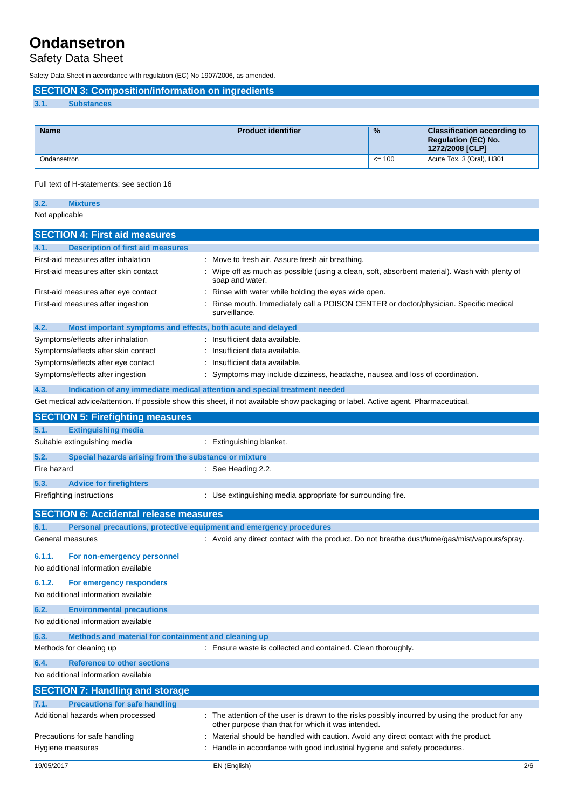# Safety Data Sheet

Safety Data Sheet in accordance with regulation (EC) No 1907/2006, as amended.

**SECTION 3: Composition/information on ingredients**

## **3.1. Substances**

| <b>Name</b> | <b>Product identifier</b> | $\frac{9}{6}$ | <b>Classification according to</b><br><b>Regulation (EC) No.</b><br>1272/2008 [CLP] |
|-------------|---------------------------|---------------|-------------------------------------------------------------------------------------|
| Ondansetron |                           | $\leq$ 100    | Acute Tox. 3 (Oral), H301                                                           |

Full text of H-statements: see section 16

**3.2. Mixtures**

Not applicable

| <b>SECTION 4: First aid measures</b>                                                                                                                    |                                                                                                                                                      |  |
|---------------------------------------------------------------------------------------------------------------------------------------------------------|------------------------------------------------------------------------------------------------------------------------------------------------------|--|
| <b>Description of first aid measures</b><br>4.1.                                                                                                        |                                                                                                                                                      |  |
| First-aid measures after inhalation                                                                                                                     | Move to fresh air. Assure fresh air breathing.                                                                                                       |  |
| First-aid measures after skin contact<br>Wipe off as much as possible (using a clean, soft, absorbent material). Wash with plenty of<br>soap and water. |                                                                                                                                                      |  |
| First-aid measures after eye contact<br>Rinse with water while holding the eyes wide open.                                                              |                                                                                                                                                      |  |
| Rinse mouth. Immediately call a POISON CENTER or doctor/physician. Specific medical<br>First-aid measures after ingestion<br>surveillance.              |                                                                                                                                                      |  |
| Most important symptoms and effects, both acute and delayed<br>4.2.                                                                                     |                                                                                                                                                      |  |
| Symptoms/effects after inhalation                                                                                                                       | Insufficient data available.                                                                                                                         |  |
| Symptoms/effects after skin contact                                                                                                                     | Insufficient data available.                                                                                                                         |  |
| Symptoms/effects after eye contact                                                                                                                      | Insufficient data available.                                                                                                                         |  |
| Symptoms/effects after ingestion                                                                                                                        | Symptoms may include dizziness, headache, nausea and loss of coordination.                                                                           |  |
| 4.3.<br>Indication of any immediate medical attention and special treatment needed                                                                      |                                                                                                                                                      |  |
|                                                                                                                                                         | Get medical advice/attention. If possible show this sheet, if not available show packaging or label. Active agent. Pharmaceutical.                   |  |
| <b>SECTION 5: Firefighting measures</b>                                                                                                                 |                                                                                                                                                      |  |
| <b>Extinguishing media</b><br>5.1.                                                                                                                      |                                                                                                                                                      |  |
| Suitable extinguishing media                                                                                                                            | : Extinguishing blanket.                                                                                                                             |  |
| 5.2.<br>Special hazards arising from the substance or mixture                                                                                           |                                                                                                                                                      |  |
| Fire hazard                                                                                                                                             | : See Heading 2.2.                                                                                                                                   |  |
| 5.3.<br><b>Advice for firefighters</b>                                                                                                                  |                                                                                                                                                      |  |
| Firefighting instructions                                                                                                                               | : Use extinguishing media appropriate for surrounding fire.                                                                                          |  |
| <b>SECTION 6: Accidental release measures</b>                                                                                                           |                                                                                                                                                      |  |
| 6.1.<br>Personal precautions, protective equipment and emergency procedures                                                                             |                                                                                                                                                      |  |
| General measures                                                                                                                                        | : Avoid any direct contact with the product. Do not breathe dust/fume/gas/mist/vapours/spray.                                                        |  |
| 6.1.1.<br>For non-emergency personnel                                                                                                                   |                                                                                                                                                      |  |
| No additional information available                                                                                                                     |                                                                                                                                                      |  |
| 6.1.2.<br>For emergency responders<br>No additional information available                                                                               |                                                                                                                                                      |  |
| 6.2.<br><b>Environmental precautions</b>                                                                                                                |                                                                                                                                                      |  |
| No additional information available                                                                                                                     |                                                                                                                                                      |  |
| Methods and material for containment and cleaning up<br>6.3.                                                                                            |                                                                                                                                                      |  |
| Methods for cleaning up                                                                                                                                 | : Ensure waste is collected and contained. Clean thoroughly.                                                                                         |  |
| 6.4.<br><b>Reference to other sections</b>                                                                                                              |                                                                                                                                                      |  |
| No additional information available                                                                                                                     |                                                                                                                                                      |  |
| <b>SECTION 7: Handling and storage</b>                                                                                                                  |                                                                                                                                                      |  |
| <b>Precautions for safe handling</b><br>7.1.                                                                                                            |                                                                                                                                                      |  |
| Additional hazards when processed                                                                                                                       | The attention of the user is drawn to the risks possibly incurred by using the product for any<br>other purpose than that for which it was intended. |  |
| Precautions for safe handling                                                                                                                           | Material should be handled with caution. Avoid any direct contact with the product.                                                                  |  |
| Hygiene measures                                                                                                                                        | Handle in accordance with good industrial hygiene and safety procedures.                                                                             |  |
| 19/05/2017                                                                                                                                              | EN (English)<br>2/6                                                                                                                                  |  |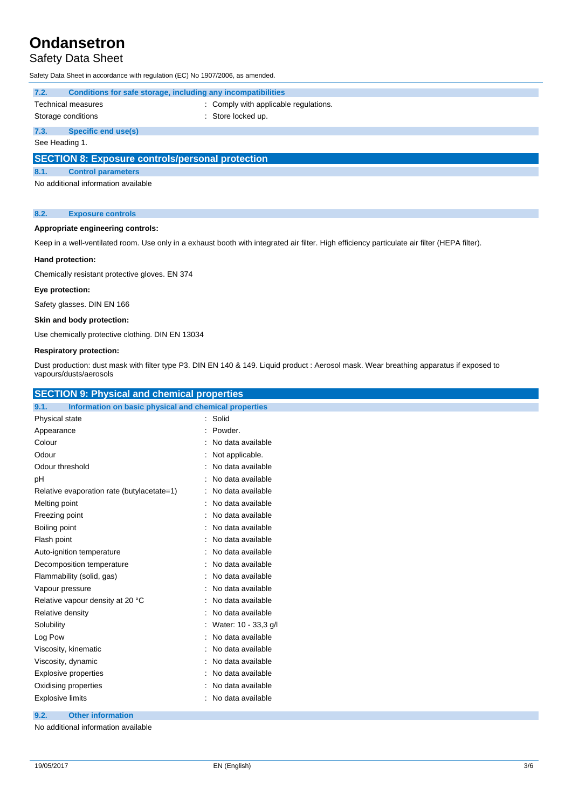## Safety Data Sheet

Safety Data Sheet in accordance with regulation (EC) No 1907/2006, as amended.

| 7.2.<br>Conditions for safe storage, including any incompatibilities |                                                         |                                       |  |
|----------------------------------------------------------------------|---------------------------------------------------------|---------------------------------------|--|
|                                                                      | Technical measures                                      | : Comply with applicable regulations. |  |
|                                                                      | Storage conditions                                      | : Store locked up.                    |  |
| 7.3.                                                                 | Specific end use(s)                                     |                                       |  |
| See Heading 1.                                                       |                                                         |                                       |  |
|                                                                      | <b>SECTION 8: Exposure controls/personal protection</b> |                                       |  |
| 8.1.                                                                 | <b>Control parameters</b>                               |                                       |  |

No additional information available

#### **8.2. Exposure controls**

### **Appropriate engineering controls:**

Keep in a well-ventilated room. Use only in a exhaust booth with integrated air filter. High efficiency particulate air filter (HEPA filter).

### **Hand protection:**

Chemically resistant protective gloves. EN 374

### **Eye protection:**

Safety glasses. DIN EN 166

### **Skin and body protection:**

Use chemically protective clothing. DIN EN 13034

#### **Respiratory protection:**

Dust production: dust mask with filter type P3. DIN EN 140 & 149. Liquid product : Aerosol mask. Wear breathing apparatus if exposed to vapours/dusts/aerosols

| <b>SECTION 9: Physical and chemical properties</b>                                                                     |                      |
|------------------------------------------------------------------------------------------------------------------------|----------------------|
| Information on basic physical and chemical properties<br>9.1.                                                          |                      |
| Physical state                                                                                                         | : Solid              |
| Appearance                                                                                                             | Powder.              |
| Colour                                                                                                                 | No data available    |
| Odour                                                                                                                  | : Not applicable.    |
| Odour threshold                                                                                                        | No data available    |
| рH                                                                                                                     | No data available    |
| Relative evaporation rate (butylacetate=1)                                                                             | : No data available  |
| Melting point                                                                                                          | No data available    |
| Freezing point                                                                                                         | No data available    |
| Boiling point                                                                                                          | No data available    |
| Flash point                                                                                                            | No data available    |
| Auto-ignition temperature                                                                                              | : No data available  |
| Decomposition temperature                                                                                              | No data available    |
| Flammability (solid, gas)                                                                                              | No data available    |
| Vapour pressure                                                                                                        | No data available    |
| Relative vapour density at 20 °C                                                                                       | No data available    |
| Relative density                                                                                                       | No data available    |
| Solubility                                                                                                             | Water: 10 - 33,3 g/l |
| Log Pow                                                                                                                | No data available    |
| Viscosity, kinematic                                                                                                   | No data available    |
| Viscosity, dynamic                                                                                                     | No data available    |
| <b>Explosive properties</b>                                                                                            | No data available    |
| Oxidising properties                                                                                                   | No data available    |
| <b>Explosive limits</b>                                                                                                | No data available    |
| <b>Contact Contact Contact Contact Contact Contact Contact Contact Contact Contact Contact Contact Contact Contact</b> |                      |

#### **9.2. Other information**

No additional information available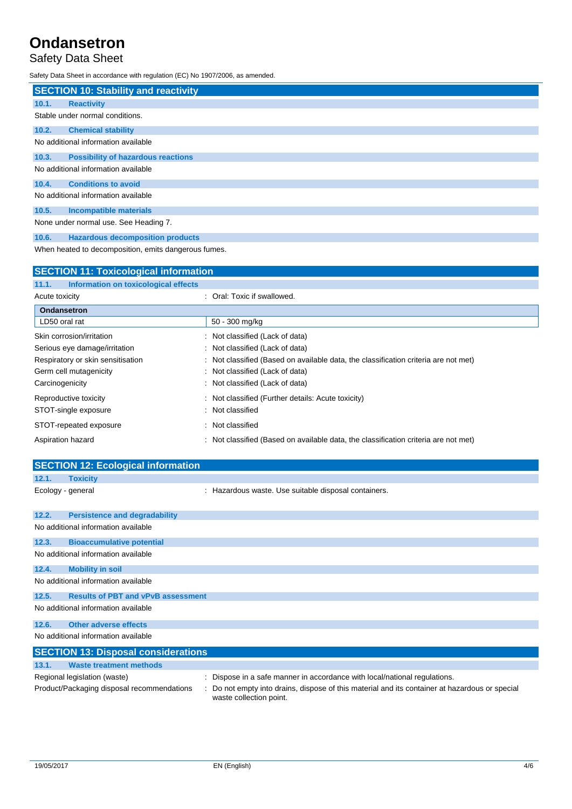# Safety Data Sheet

Safety Data Sheet in accordance with regulation (EC) No 1907/2006, as amended.

| <b>SECTION 10: Stability and reactivity</b>          |  |
|------------------------------------------------------|--|
| 10.1.<br><b>Reactivity</b>                           |  |
| Stable under normal conditions.                      |  |
| 10.2.<br><b>Chemical stability</b>                   |  |
| No additional information available                  |  |
| <b>Possibility of hazardous reactions</b><br>10.3.   |  |
| No additional information available                  |  |
| <b>Conditions to avoid</b><br>10.4.                  |  |
| No additional information available                  |  |
| 10.5.<br><b>Incompatible materials</b>               |  |
| None under normal use. See Heading 7.                |  |
| <b>Hazardous decomposition products</b><br>10.6.     |  |
| When heated to decomposition, emits dangerous fumes. |  |

| <b>SECTION 11: Toxicological information</b>  |                                                                                     |  |  |  |
|-----------------------------------------------|-------------------------------------------------------------------------------------|--|--|--|
| 11.1.<br>Information on toxicological effects |                                                                                     |  |  |  |
| Acute toxicity                                | : Oral: Toxic if swallowed.                                                         |  |  |  |
| <b>Ondansetron</b>                            |                                                                                     |  |  |  |
| LD50 oral rat                                 | 50 - 300 mg/kg                                                                      |  |  |  |
| Skin corrosion/irritation                     | : Not classified (Lack of data)                                                     |  |  |  |
| Serious eye damage/irritation                 | : Not classified (Lack of data)                                                     |  |  |  |
| Respiratory or skin sensitisation             | : Not classified (Based on available data, the classification criteria are not met) |  |  |  |
| Germ cell mutagenicity                        | : Not classified (Lack of data)                                                     |  |  |  |
| Carcinogenicity                               | : Not classified (Lack of data)                                                     |  |  |  |
| Reproductive toxicity                         | : Not classified (Further details: Acute toxicity)                                  |  |  |  |
| STOT-single exposure                          | Not classified                                                                      |  |  |  |
| STOT-repeated exposure                        | Not classified                                                                      |  |  |  |
| Aspiration hazard                             | : Not classified (Based on available data, the classification criteria are not met) |  |  |  |

|       | <b>SECTION 12: Ecological information</b>  |                                                                         |
|-------|--------------------------------------------|-------------------------------------------------------------------------|
| 12.1. | <b>Toxicity</b>                            |                                                                         |
|       | Ecology - general                          | : Hazardous waste. Use suitable disposal containers.                    |
| 12.2. | <b>Persistence and degradability</b>       |                                                                         |
|       | No additional information available        |                                                                         |
| 12.3. | <b>Bioaccumulative potential</b>           |                                                                         |
|       | No additional information available        |                                                                         |
| 12.4. | <b>Mobility in soil</b>                    |                                                                         |
|       | No additional information available        |                                                                         |
| 12.5. | <b>Results of PBT and vPvB assessment</b>  |                                                                         |
|       | No additional information available        |                                                                         |
| 12.6. | Other adverse effects                      |                                                                         |
|       | No additional information available        |                                                                         |
|       | <b>SECTION 13: Disposal considerations</b> |                                                                         |
| 13.1. | <b>Waste treatment methods</b>             |                                                                         |
|       | Regional legislation (waste)               | Dispose in a safe manner in accordance with local/national regulations. |

|                         | Product/Packaging disposal recommendations : Do not empty into drains, dispose of this material and its container at hazardous or special |
|-------------------------|-------------------------------------------------------------------------------------------------------------------------------------------|
| waste collection point. |                                                                                                                                           |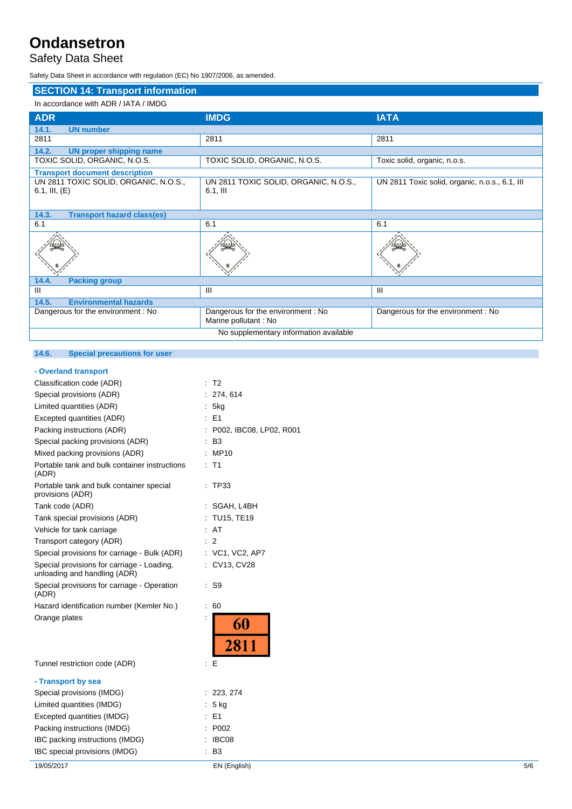# Safety Data Sheet

Safety Data Sheet in accordance with regulation (EC) No 1907/2006, as amended.

| <b>SECTION 14: Transport information</b>                    |                                                            |                                                |  |
|-------------------------------------------------------------|------------------------------------------------------------|------------------------------------------------|--|
| In accordance with ADR / IATA / IMDG                        |                                                            |                                                |  |
| <b>ADR</b>                                                  | <b>IMDG</b>                                                | <b>IATA</b>                                    |  |
| 14.1.<br><b>UN number</b>                                   |                                                            |                                                |  |
| 2811                                                        | 2811                                                       | 2811                                           |  |
| 14.2.<br><b>UN proper shipping name</b>                     |                                                            |                                                |  |
| TOXIC SOLID, ORGANIC, N.O.S.                                | TOXIC SOLID, ORGANIC, N.O.S.                               | Toxic solid, organic, n.o.s.                   |  |
| <b>Transport document description</b>                       |                                                            |                                                |  |
| UN 2811 TOXIC SOLID, ORGANIC, N.O.S.,<br>$6.1$ , III, $(E)$ | UN 2811 TOXIC SOLID, ORGANIC, N.O.S.,<br>$6.1,$ III        | UN 2811 Toxic solid, organic, n.o.s., 6.1, III |  |
| 14.3.<br><b>Transport hazard class(es)</b>                  |                                                            |                                                |  |
| 6.1                                                         | 6.1                                                        | 6.1                                            |  |
|                                                             |                                                            |                                                |  |
| <b>Packing group</b><br>14.4.                               |                                                            |                                                |  |
| III                                                         | Ш                                                          | $\mathbf{III}$                                 |  |
| <b>Environmental hazards</b><br>14.5.                       |                                                            |                                                |  |
| Dangerous for the environment: No                           | Dangerous for the environment : No<br>Marine pollutant: No | Dangerous for the environment: No              |  |
| No supplementary information available                      |                                                            |                                                |  |

## **14.6. Special precautions for user**

### **- Overland transport**

| Classification code (ADR)                                                  | T <sub>2</sub>                     |  |
|----------------------------------------------------------------------------|------------------------------------|--|
| Special provisions (ADR)                                                   | 274, 614                           |  |
| Limited quantities (ADR)                                                   | 5kg                                |  |
| Excepted quantities (ADR)                                                  | E1                                 |  |
| Packing instructions (ADR)                                                 | P002, IBC08, LP02, R001            |  |
| Special packing provisions (ADR)                                           | B3                                 |  |
| Mixed packing provisions (ADR)                                             | MP10                               |  |
| Portable tank and bulk container instructions<br>(ADR)                     | T1                                 |  |
| Portable tank and bulk container special<br>provisions (ADR)               | TP33                               |  |
| Tank code (ADR)                                                            | SGAH, L4BH                         |  |
| Tank special provisions (ADR)                                              | TU15, TE19                         |  |
| Vehicle for tank carriage                                                  | AT                                 |  |
| Transport category (ADR)                                                   | 2                                  |  |
| Special provisions for carriage - Bulk (ADR)                               | : VC1, VC2, AP7                    |  |
| Special provisions for carriage - Loading,<br>unloading and handling (ADR) | CV13, CV28                         |  |
| Special provisions for carriage - Operation<br>(ADR)                       | S <sub>9</sub>                     |  |
| Hazard identification number (Kemler No.)                                  | 60<br>t                            |  |
| Orange plates                                                              | $\ddot{\phantom{a}}$<br>60<br>2811 |  |
| Tunnel restriction code (ADR)                                              | Е<br>t.                            |  |
| - Transport by sea                                                         |                                    |  |
| Special provisions (IMDG)                                                  | 223, 274<br>t.                     |  |
| Limited quantities (IMDG)                                                  | 5 kg                               |  |
| Excepted quantities (IMDG)                                                 | E <sub>1</sub>                     |  |
| Packing instructions (IMDG)                                                | P002                               |  |
| IBC packing instructions (IMDG)                                            | IBC08                              |  |
| IBC special provisions (IMDG)                                              | B <sub>3</sub>                     |  |